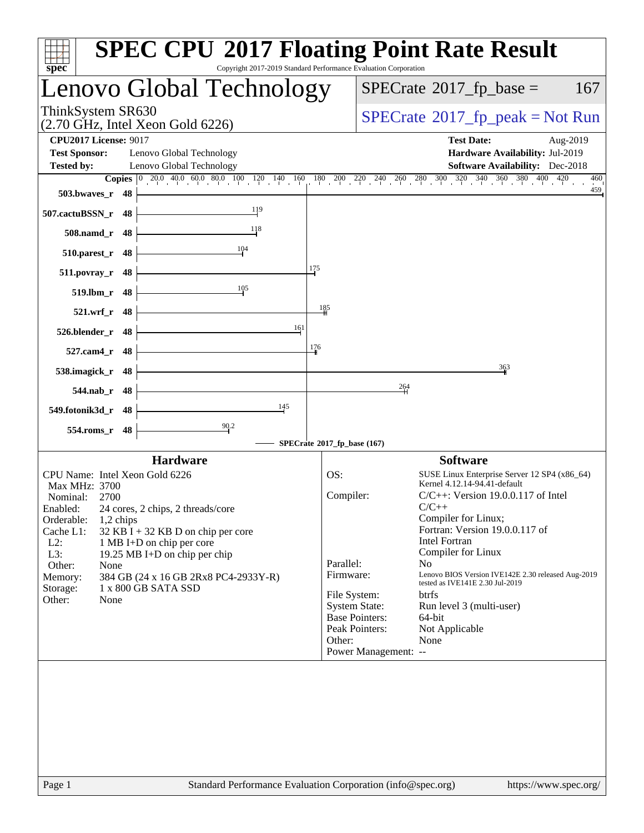| Copyright 2017-2019 Standard Performance Evaluation Corporation<br>$spec^*$                                                                                                                                                                                                                                                                                                                                                      | <b>SPEC CPU®2017 Floating Point Rate Result</b>                                                                                                                                                                                                                                                                                                                                                                                                                                                                                                                                                          |
|----------------------------------------------------------------------------------------------------------------------------------------------------------------------------------------------------------------------------------------------------------------------------------------------------------------------------------------------------------------------------------------------------------------------------------|----------------------------------------------------------------------------------------------------------------------------------------------------------------------------------------------------------------------------------------------------------------------------------------------------------------------------------------------------------------------------------------------------------------------------------------------------------------------------------------------------------------------------------------------------------------------------------------------------------|
| Lenovo Global Technology                                                                                                                                                                                                                                                                                                                                                                                                         | $SPECTate$ <sup>®</sup> 2017_fp_base =<br>167                                                                                                                                                                                                                                                                                                                                                                                                                                                                                                                                                            |
| ThinkSystem SR630<br>$(2.70 \text{ GHz}, \text{Intel Xeon Gold } 6226)$                                                                                                                                                                                                                                                                                                                                                          | $SPECrate^{\circ}2017rfp peak = Not Run$                                                                                                                                                                                                                                                                                                                                                                                                                                                                                                                                                                 |
| <b>CPU2017 License: 9017</b><br><b>Test Sponsor:</b><br>Lenovo Global Technology<br><b>Tested by:</b><br>Lenovo Global Technology                                                                                                                                                                                                                                                                                                | <b>Test Date:</b><br>Aug-2019<br>Hardware Availability: Jul-2019<br><b>Software Availability:</b> Dec-2018                                                                                                                                                                                                                                                                                                                                                                                                                                                                                               |
|                                                                                                                                                                                                                                                                                                                                                                                                                                  | <b>Copies</b> $\begin{bmatrix} 0 & 20.0 & 40.0 & 60.0 & 80.0 & 100 & 120 & 140 & 160 & 180 & 200 & 220 & 240 & 260 & 280 & 300 & 320 & 340 & 360 & 380 & 400 & 420 \end{bmatrix}$<br>460<br>459                                                                                                                                                                                                                                                                                                                                                                                                          |
| 503.bwayes r 48<br>119<br>507.cactuBSSN_r 48                                                                                                                                                                                                                                                                                                                                                                                     |                                                                                                                                                                                                                                                                                                                                                                                                                                                                                                                                                                                                          |
| 118<br>508.namd_r 48                                                                                                                                                                                                                                                                                                                                                                                                             |                                                                                                                                                                                                                                                                                                                                                                                                                                                                                                                                                                                                          |
| 104<br>48<br>510.parest_r                                                                                                                                                                                                                                                                                                                                                                                                        |                                                                                                                                                                                                                                                                                                                                                                                                                                                                                                                                                                                                          |
| 175<br>48<br>$511. povray_r$                                                                                                                                                                                                                                                                                                                                                                                                     |                                                                                                                                                                                                                                                                                                                                                                                                                                                                                                                                                                                                          |
| 105<br>519.lbm_r 48                                                                                                                                                                                                                                                                                                                                                                                                              |                                                                                                                                                                                                                                                                                                                                                                                                                                                                                                                                                                                                          |
| 521.wrf_r 48                                                                                                                                                                                                                                                                                                                                                                                                                     | 185                                                                                                                                                                                                                                                                                                                                                                                                                                                                                                                                                                                                      |
| 161<br>526.blender_r 48                                                                                                                                                                                                                                                                                                                                                                                                          |                                                                                                                                                                                                                                                                                                                                                                                                                                                                                                                                                                                                          |
| 176<br>527.cam4_r 48                                                                                                                                                                                                                                                                                                                                                                                                             |                                                                                                                                                                                                                                                                                                                                                                                                                                                                                                                                                                                                          |
| 538.imagick_r 48                                                                                                                                                                                                                                                                                                                                                                                                                 | 363                                                                                                                                                                                                                                                                                                                                                                                                                                                                                                                                                                                                      |
| $544$ .nab $r$ 48                                                                                                                                                                                                                                                                                                                                                                                                                | 264                                                                                                                                                                                                                                                                                                                                                                                                                                                                                                                                                                                                      |
| 145<br>549.fotonik3d_r 48                                                                                                                                                                                                                                                                                                                                                                                                        |                                                                                                                                                                                                                                                                                                                                                                                                                                                                                                                                                                                                          |
| 90.2<br>554.roms_r<br>48                                                                                                                                                                                                                                                                                                                                                                                                         |                                                                                                                                                                                                                                                                                                                                                                                                                                                                                                                                                                                                          |
|                                                                                                                                                                                                                                                                                                                                                                                                                                  | SPECrate®2017_fp_base (167)                                                                                                                                                                                                                                                                                                                                                                                                                                                                                                                                                                              |
| <b>Hardware</b><br>CPU Name: Intel Xeon Gold 6226<br>Max MHz: 3700<br>Nominal:<br>2700<br>Enabled:<br>24 cores, 2 chips, 2 threads/core<br>Orderable:<br>1,2 chips<br>Cache L1:<br>$32$ KB I + 32 KB D on chip per core<br>$L2$ :<br>1 MB I+D on chip per core<br>L3:<br>19.25 MB I+D on chip per chip<br>Other:<br>None<br>384 GB (24 x 16 GB 2Rx8 PC4-2933Y-R)<br>Memory:<br>1 x 800 GB SATA SSD<br>Storage:<br>Other:<br>None | <b>Software</b><br>OS:<br>SUSE Linux Enterprise Server 12 SP4 (x86_64)<br>Kernel 4.12.14-94.41-default<br>Compiler:<br>$C/C++$ : Version 19.0.0.117 of Intel<br>$C/C++$<br>Compiler for Linux;<br>Fortran: Version 19.0.0.117 of<br><b>Intel Fortran</b><br>Compiler for Linux<br>Parallel:<br>No<br>Lenovo BIOS Version IVE142E 2.30 released Aug-2019<br>Firmware:<br>tested as IVE141E 2.30 Jul-2019<br>File System:<br>btrfs<br><b>System State:</b><br>Run level 3 (multi-user)<br><b>Base Pointers:</b><br>$64$ -bit<br>Peak Pointers:<br>Not Applicable<br>None<br>Other:<br>Power Management: -- |
| Standard Performance Evaluation Corporation (info@spec.org)<br>Page 1                                                                                                                                                                                                                                                                                                                                                            | https://www.spec.org/                                                                                                                                                                                                                                                                                                                                                                                                                                                                                                                                                                                    |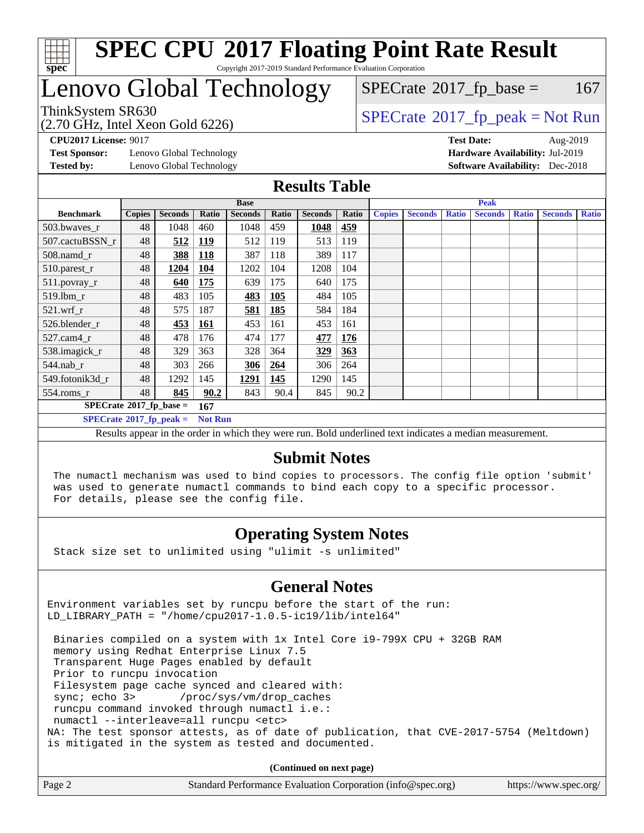

# Lenovo Global Technology

ThinkSystem SR630<br>(2.70 GHz, Intel Xeon Gold 6226)

 $SPECTate@2017_fp\_peak = Not Run$  $SPECTate$ <sup>®</sup>[2017\\_fp\\_base =](http://www.spec.org/auto/cpu2017/Docs/result-fields.html#SPECrate2017fpbase) 167

**[Test Sponsor:](http://www.spec.org/auto/cpu2017/Docs/result-fields.html#TestSponsor)** Lenovo Global Technology **[Hardware Availability:](http://www.spec.org/auto/cpu2017/Docs/result-fields.html#HardwareAvailability)** Jul-2019 **[Tested by:](http://www.spec.org/auto/cpu2017/Docs/result-fields.html#Testedby)** Lenovo Global Technology **[Software Availability:](http://www.spec.org/auto/cpu2017/Docs/result-fields.html#SoftwareAvailability)** Dec-2018

**[CPU2017 License:](http://www.spec.org/auto/cpu2017/Docs/result-fields.html#CPU2017License)** 9017 **[Test Date:](http://www.spec.org/auto/cpu2017/Docs/result-fields.html#TestDate)** Aug-2019

### **[Results Table](http://www.spec.org/auto/cpu2017/Docs/result-fields.html#ResultsTable)**

|                                        | <b>Base</b>   |                |                |                |            |                | <b>Peak</b> |               |                |              |                |              |                |              |
|----------------------------------------|---------------|----------------|----------------|----------------|------------|----------------|-------------|---------------|----------------|--------------|----------------|--------------|----------------|--------------|
| <b>Benchmark</b>                       | <b>Copies</b> | <b>Seconds</b> | Ratio          | <b>Seconds</b> | Ratio      | <b>Seconds</b> | Ratio       | <b>Copies</b> | <b>Seconds</b> | <b>Ratio</b> | <b>Seconds</b> | <b>Ratio</b> | <b>Seconds</b> | <b>Ratio</b> |
| 503.bwayes r                           | 48            | 1048           | 460            | 1048           | 459        | 1048           | 459         |               |                |              |                |              |                |              |
| 507.cactuBSSN r                        | 48            | 512            | <u>119</u>     | 512            | 119        | 513            | 119         |               |                |              |                |              |                |              |
| $508$ .namd $r$                        | 48            | 388            | <b>118</b>     | 387            | 118        | 389            | 117         |               |                |              |                |              |                |              |
| 510.parest_r                           | 48            | 1204           | <b>104</b>     | 1202           | 104        | 1208           | 104         |               |                |              |                |              |                |              |
| 511.povray_r                           | 48            | 640            | <u>175</u>     | 639            | 175        | 640            | 175         |               |                |              |                |              |                |              |
| 519.lbm r                              | 48            | 483            | 105            | 483            | <b>105</b> | 484            | 105         |               |                |              |                |              |                |              |
| $521$ .wrf r                           | 48            | 575            | 187            | 581            | 185        | 584            | 184         |               |                |              |                |              |                |              |
| 526.blender r                          | 48            | 453            | <u>161</u>     | 453            | 161        | 453            | 161         |               |                |              |                |              |                |              |
| 527.cam4 r                             | 48            | 478            | 176            | 474            | 177        | 477            | 176         |               |                |              |                |              |                |              |
| 538.imagick_r                          | 48            | 329            | 363            | 328            | 364        | 329            | 363         |               |                |              |                |              |                |              |
| $544$ .nab r                           | 48            | 303            | 266            | 306            | 264        | 306            | 264         |               |                |              |                |              |                |              |
| 549.fotonik3d r                        | 48            | 1292           | 145            | 1291           | 145        | 1290           | 145         |               |                |              |                |              |                |              |
| $554$ .roms_r                          | 48            | 845            | 90.2           | 843            | 90.4       | 845            | 90.2        |               |                |              |                |              |                |              |
| $SPECrate$ <sup>®</sup> 2017_fp_base = |               |                | 167            |                |            |                |             |               |                |              |                |              |                |              |
| $SPECrate^{\circ}2017$ fp peak =       |               |                | <b>Not Run</b> |                |            |                |             |               |                |              |                |              |                |              |

Results appear in the [order in which they were run.](http://www.spec.org/auto/cpu2017/Docs/result-fields.html#RunOrder) Bold underlined text [indicates a median measurement.](http://www.spec.org/auto/cpu2017/Docs/result-fields.html#Median)

### **[Submit Notes](http://www.spec.org/auto/cpu2017/Docs/result-fields.html#SubmitNotes)**

 The numactl mechanism was used to bind copies to processors. The config file option 'submit' was used to generate numactl commands to bind each copy to a specific processor. For details, please see the config file.

# **[Operating System Notes](http://www.spec.org/auto/cpu2017/Docs/result-fields.html#OperatingSystemNotes)**

Stack size set to unlimited using "ulimit -s unlimited"

# **[General Notes](http://www.spec.org/auto/cpu2017/Docs/result-fields.html#GeneralNotes)**

Environment variables set by runcpu before the start of the run: LD\_LIBRARY\_PATH = "/home/cpu2017-1.0.5-ic19/lib/intel64"

 Binaries compiled on a system with 1x Intel Core i9-799X CPU + 32GB RAM memory using Redhat Enterprise Linux 7.5 Transparent Huge Pages enabled by default Prior to runcpu invocation Filesystem page cache synced and cleared with: sync; echo 3> /proc/sys/vm/drop\_caches runcpu command invoked through numactl i.e.: numactl --interleave=all runcpu <etc> NA: The test sponsor attests, as of date of publication, that CVE-2017-5754 (Meltdown) is mitigated in the system as tested and documented.

**(Continued on next page)**

| Page 2 | Standard Performance Evaluation Corporation (info@spec.org) | https://www.spec.org/ |
|--------|-------------------------------------------------------------|-----------------------|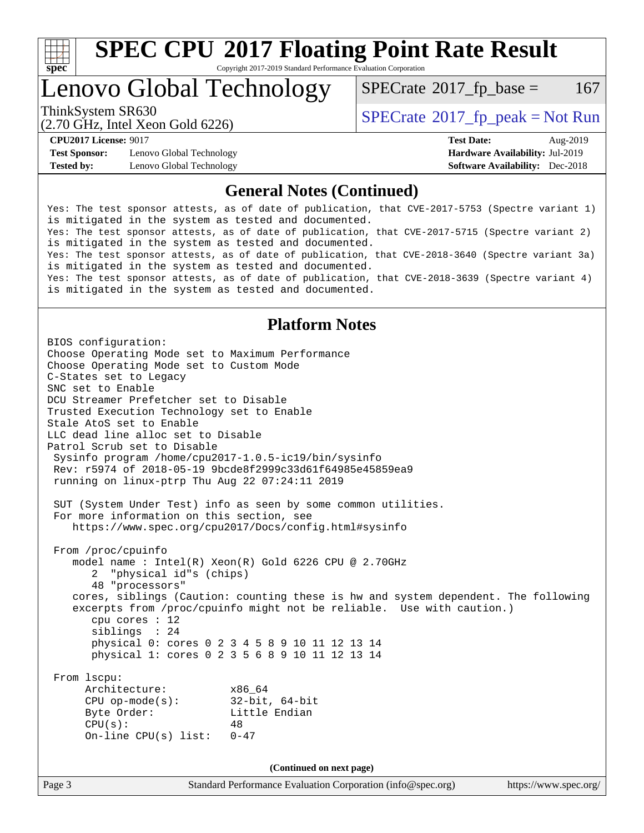

# **[SPEC CPU](http://www.spec.org/auto/cpu2017/Docs/result-fields.html#SPECCPU2017FloatingPointRateResult)[2017 Floating Point Rate Result](http://www.spec.org/auto/cpu2017/Docs/result-fields.html#SPECCPU2017FloatingPointRateResult)**

Copyright 2017-2019 Standard Performance Evaluation Corporation

Lenovo Global Technology

 $SPECTate$ <sup>®</sup>[2017\\_fp\\_base =](http://www.spec.org/auto/cpu2017/Docs/result-fields.html#SPECrate2017fpbase) 167

(2.70 GHz, Intel Xeon Gold 6226)

ThinkSystem SR630<br>  $SPECTR<sub>20.70</sub> C<sub>117</sub>$  Intel Year Cald 6226)<br> [SPECrate](http://www.spec.org/auto/cpu2017/Docs/result-fields.html#SPECrate2017fppeak)®[2017\\_fp\\_peak = N](http://www.spec.org/auto/cpu2017/Docs/result-fields.html#SPECrate2017fppeak)ot Run

**[Test Sponsor:](http://www.spec.org/auto/cpu2017/Docs/result-fields.html#TestSponsor)** Lenovo Global Technology **[Hardware Availability:](http://www.spec.org/auto/cpu2017/Docs/result-fields.html#HardwareAvailability)** Jul-2019 **[Tested by:](http://www.spec.org/auto/cpu2017/Docs/result-fields.html#Testedby)** Lenovo Global Technology **[Software Availability:](http://www.spec.org/auto/cpu2017/Docs/result-fields.html#SoftwareAvailability)** Dec-2018

**[CPU2017 License:](http://www.spec.org/auto/cpu2017/Docs/result-fields.html#CPU2017License)** 9017 **[Test Date:](http://www.spec.org/auto/cpu2017/Docs/result-fields.html#TestDate)** Aug-2019

### **[General Notes \(Continued\)](http://www.spec.org/auto/cpu2017/Docs/result-fields.html#GeneralNotes)**

Yes: The test sponsor attests, as of date of publication, that CVE-2017-5753 (Spectre variant 1) is mitigated in the system as tested and documented. Yes: The test sponsor attests, as of date of publication, that CVE-2017-5715 (Spectre variant 2) is mitigated in the system as tested and documented. Yes: The test sponsor attests, as of date of publication, that CVE-2018-3640 (Spectre variant 3a) is mitigated in the system as tested and documented. Yes: The test sponsor attests, as of date of publication, that CVE-2018-3639 (Spectre variant 4) is mitigated in the system as tested and documented.

## **[Platform Notes](http://www.spec.org/auto/cpu2017/Docs/result-fields.html#PlatformNotes)**

Page 3 Standard Performance Evaluation Corporation [\(info@spec.org\)](mailto:info@spec.org) <https://www.spec.org/> BIOS configuration: Choose Operating Mode set to Maximum Performance Choose Operating Mode set to Custom Mode C-States set to Legacy SNC set to Enable DCU Streamer Prefetcher set to Disable Trusted Execution Technology set to Enable Stale AtoS set to Enable LLC dead line alloc set to Disable Patrol Scrub set to Disable Sysinfo program /home/cpu2017-1.0.5-ic19/bin/sysinfo Rev: r5974 of 2018-05-19 9bcde8f2999c33d61f64985e45859ea9 running on linux-ptrp Thu Aug 22 07:24:11 2019 SUT (System Under Test) info as seen by some common utilities. For more information on this section, see <https://www.spec.org/cpu2017/Docs/config.html#sysinfo> From /proc/cpuinfo model name : Intel(R) Xeon(R) Gold 6226 CPU @ 2.70GHz 2 "physical id"s (chips) 48 "processors" cores, siblings (Caution: counting these is hw and system dependent. The following excerpts from /proc/cpuinfo might not be reliable. Use with caution.) cpu cores : 12 siblings : 24 physical 0: cores 0 2 3 4 5 8 9 10 11 12 13 14 physical 1: cores 0 2 3 5 6 8 9 10 11 12 13 14 From lscpu: Architecture: x86\_64 CPU op-mode(s): 32-bit, 64-bit Byte Order: Little Endian  $CPU(s):$  48 On-line CPU(s) list: 0-47 **(Continued on next page)**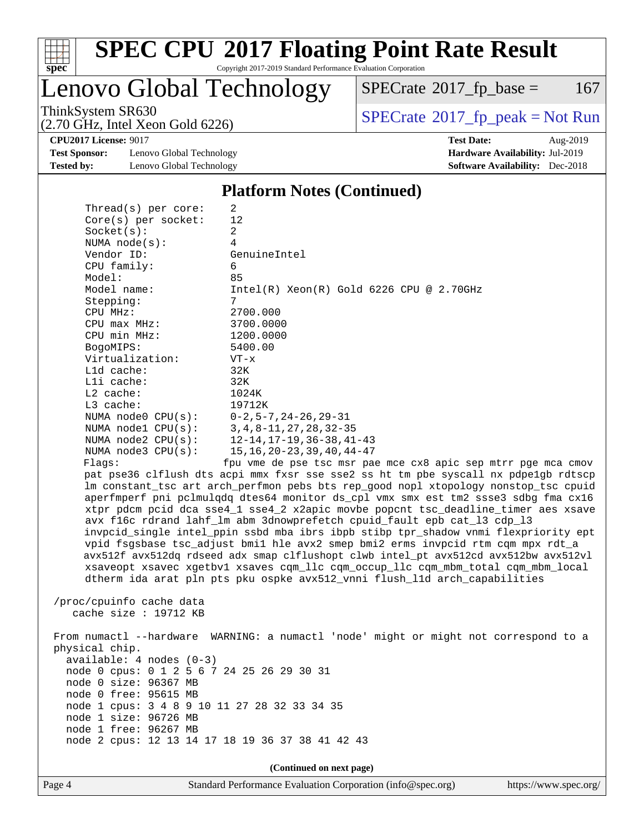

Lenovo Global Technology

 $SPECTate@2017_fp\_base = 167$ 

(2.70 GHz, Intel Xeon Gold 6226)

ThinkSystem SR630<br>  $(2.70 \text{ GHz}_{\text{1.1}})$  [SPECrate](http://www.spec.org/auto/cpu2017/Docs/result-fields.html#SPECrate2017fppeak)®[2017\\_fp\\_peak = N](http://www.spec.org/auto/cpu2017/Docs/result-fields.html#SPECrate2017fppeak)ot Run

**[CPU2017 License:](http://www.spec.org/auto/cpu2017/Docs/result-fields.html#CPU2017License)** 9017 **[Test Date:](http://www.spec.org/auto/cpu2017/Docs/result-fields.html#TestDate)** Aug-2019

**[Test Sponsor:](http://www.spec.org/auto/cpu2017/Docs/result-fields.html#TestSponsor)** Lenovo Global Technology **[Hardware Availability:](http://www.spec.org/auto/cpu2017/Docs/result-fields.html#HardwareAvailability)** Jul-2019 **[Tested by:](http://www.spec.org/auto/cpu2017/Docs/result-fields.html#Testedby)** Lenovo Global Technology **[Software Availability:](http://www.spec.org/auto/cpu2017/Docs/result-fields.html#SoftwareAvailability)** Dec-2018

**[Platform Notes \(Continued\)](http://www.spec.org/auto/cpu2017/Docs/result-fields.html#PlatformNotes)**

|  | Thread( $s$ ) per core:                                                                                                                                                                                                                                        | 2                                                                                   |  |  |  |  |
|--|----------------------------------------------------------------------------------------------------------------------------------------------------------------------------------------------------------------------------------------------------------------|-------------------------------------------------------------------------------------|--|--|--|--|
|  | $Core(s)$ per socket:                                                                                                                                                                                                                                          | 12                                                                                  |  |  |  |  |
|  | Socket(s):                                                                                                                                                                                                                                                     | $\overline{2}$                                                                      |  |  |  |  |
|  | NUMA $node(s)$ :                                                                                                                                                                                                                                               | $\overline{4}$                                                                      |  |  |  |  |
|  | Vendor ID:                                                                                                                                                                                                                                                     | GenuineIntel                                                                        |  |  |  |  |
|  | CPU family:                                                                                                                                                                                                                                                    | 6                                                                                   |  |  |  |  |
|  | Model:                                                                                                                                                                                                                                                         | 85                                                                                  |  |  |  |  |
|  | Model name:                                                                                                                                                                                                                                                    | $Intel(R)$ Xeon $(R)$ Gold 6226 CPU @ 2.70GHz                                       |  |  |  |  |
|  | Stepping:                                                                                                                                                                                                                                                      | 7                                                                                   |  |  |  |  |
|  | CPU MHz:                                                                                                                                                                                                                                                       | 2700.000                                                                            |  |  |  |  |
|  | $CPU$ $max$ $MHz$ :                                                                                                                                                                                                                                            | 3700.0000                                                                           |  |  |  |  |
|  | CPU min MHz:                                                                                                                                                                                                                                                   | 1200.0000                                                                           |  |  |  |  |
|  | BogoMIPS:                                                                                                                                                                                                                                                      | 5400.00                                                                             |  |  |  |  |
|  | Virtualization:                                                                                                                                                                                                                                                | $VT - x$                                                                            |  |  |  |  |
|  | L1d cache:                                                                                                                                                                                                                                                     | 32K                                                                                 |  |  |  |  |
|  | Lli cache:                                                                                                                                                                                                                                                     | 32K                                                                                 |  |  |  |  |
|  | $L2$ cache:                                                                                                                                                                                                                                                    | 1024K                                                                               |  |  |  |  |
|  | $L3$ cache:                                                                                                                                                                                                                                                    | 19712K                                                                              |  |  |  |  |
|  | NUMA $node0$ $CPU(s):$                                                                                                                                                                                                                                         | $0-2, 5-7, 24-26, 29-31$                                                            |  |  |  |  |
|  | NUMA $node1$ $CPU(s):$                                                                                                                                                                                                                                         | 3, 4, 8-11, 27, 28, 32-35                                                           |  |  |  |  |
|  | NUMA $node2$ $CPU(s):$                                                                                                                                                                                                                                         | 12-14,17-19,36-38,41-43                                                             |  |  |  |  |
|  | NUMA node3 CPU(s):                                                                                                                                                                                                                                             | $15, 16, 20 - 23, 39, 40, 44 - 47$                                                  |  |  |  |  |
|  | Flags:                                                                                                                                                                                                                                                         | fpu vme de pse tsc msr pae mce cx8 apic sep mtrr pge mca cmov                       |  |  |  |  |
|  |                                                                                                                                                                                                                                                                | pat pse36 clflush dts acpi mmx fxsr sse sse2 ss ht tm pbe syscall nx pdpe1gb rdtscp |  |  |  |  |
|  |                                                                                                                                                                                                                                                                | lm constant_tsc art arch_perfmon pebs bts rep_good nopl xtopology nonstop_tsc cpuid |  |  |  |  |
|  |                                                                                                                                                                                                                                                                | aperfmperf pni pclmulqdq dtes64 monitor ds_cpl vmx smx est tm2 ssse3 sdbg fma cx16  |  |  |  |  |
|  |                                                                                                                                                                                                                                                                | xtpr pdcm pcid dca sse4_1 sse4_2 x2apic movbe popcnt tsc_deadline_timer aes xsave   |  |  |  |  |
|  |                                                                                                                                                                                                                                                                | avx f16c rdrand lahf_lm abm 3dnowprefetch cpuid_fault epb cat_13 cdp_13             |  |  |  |  |
|  | invpcid_single intel_ppin ssbd mba ibrs ibpb stibp tpr_shadow vnmi flexpriority ept<br>vpid fsgsbase tsc_adjust bmil hle avx2 smep bmi2 erms invpcid rtm cqm mpx rdt_a<br>avx512f avx512dq rdseed adx smap clflushopt clwb intel_pt avx512cd avx512bw avx512vl |                                                                                     |  |  |  |  |
|  |                                                                                                                                                                                                                                                                |                                                                                     |  |  |  |  |
|  |                                                                                                                                                                                                                                                                |                                                                                     |  |  |  |  |
|  |                                                                                                                                                                                                                                                                | xsaveopt xsavec xgetbvl xsaves cqm_llc cqm_occup_llc cqm_mbm_total cqm_mbm_local    |  |  |  |  |
|  |                                                                                                                                                                                                                                                                | dtherm ida arat pln pts pku ospke avx512_vnni flush_lld arch_capabilities           |  |  |  |  |
|  |                                                                                                                                                                                                                                                                |                                                                                     |  |  |  |  |
|  | /proc/cpuinfo cache data                                                                                                                                                                                                                                       |                                                                                     |  |  |  |  |
|  | cache size : $19712$ KB                                                                                                                                                                                                                                        |                                                                                     |  |  |  |  |
|  |                                                                                                                                                                                                                                                                |                                                                                     |  |  |  |  |

 From numactl --hardware WARNING: a numactl 'node' might or might not correspond to a physical chip. available: 4 nodes (0-3) node 0 cpus: 0 1 2 5 6 7 24 25 26 29 30 31 node 0 size: 96367 MB node 0 free: 95615 MB node 1 cpus: 3 4 8 9 10 11 27 28 32 33 34 35 node 1 size: 96726 MB node 1 free: 96267 MB node 2 cpus: 12 13 14 17 18 19 36 37 38 41 42 43

**(Continued on next page)**

Page 4 Standard Performance Evaluation Corporation [\(info@spec.org\)](mailto:info@spec.org) <https://www.spec.org/>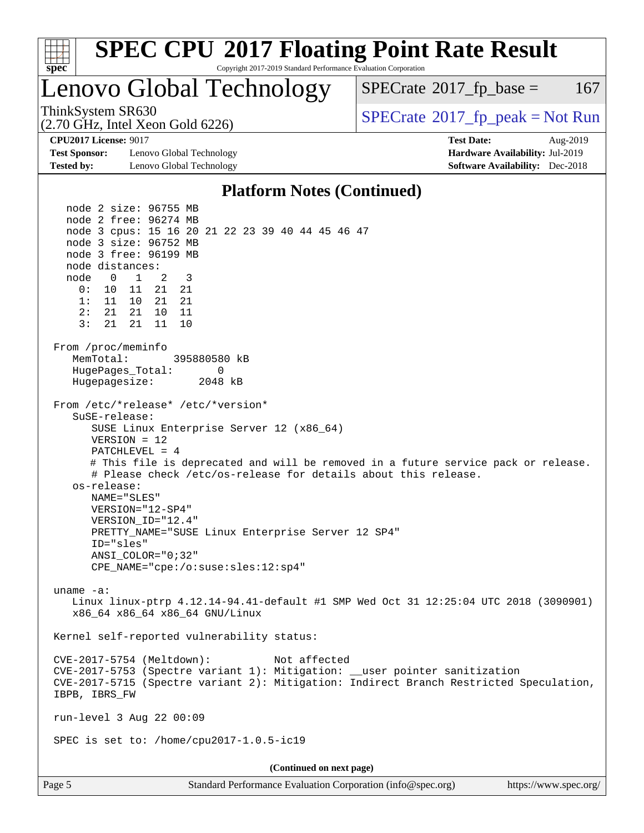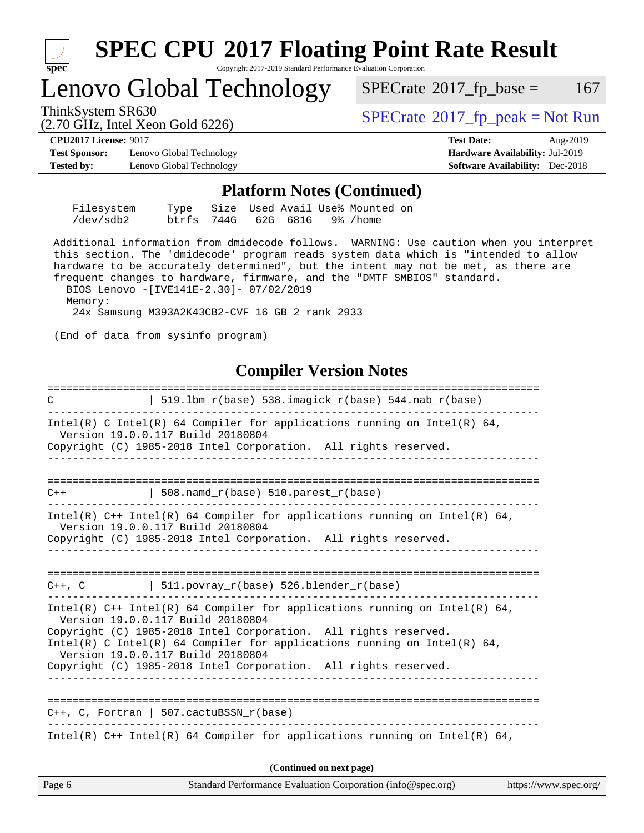

# Lenovo Global Technology

 $SPECTate$ <sup>®</sup>[2017\\_fp\\_base =](http://www.spec.org/auto/cpu2017/Docs/result-fields.html#SPECrate2017fpbase) 167

(2.70 GHz, Intel Xeon Gold 6226)

ThinkSystem SR630<br>  $SPECTR_{12}$  [SPECrate](http://www.spec.org/auto/cpu2017/Docs/result-fields.html#SPECrate2017fppeak)®[2017\\_fp\\_peak = N](http://www.spec.org/auto/cpu2017/Docs/result-fields.html#SPECrate2017fppeak)ot Run

**[Test Sponsor:](http://www.spec.org/auto/cpu2017/Docs/result-fields.html#TestSponsor)** Lenovo Global Technology **[Hardware Availability:](http://www.spec.org/auto/cpu2017/Docs/result-fields.html#HardwareAvailability)** Jul-2019 **[Tested by:](http://www.spec.org/auto/cpu2017/Docs/result-fields.html#Testedby)** Lenovo Global Technology **[Software Availability:](http://www.spec.org/auto/cpu2017/Docs/result-fields.html#SoftwareAvailability)** Dec-2018

**[CPU2017 License:](http://www.spec.org/auto/cpu2017/Docs/result-fields.html#CPU2017License)** 9017 **[Test Date:](http://www.spec.org/auto/cpu2017/Docs/result-fields.html#TestDate)** Aug-2019

### **[Platform Notes \(Continued\)](http://www.spec.org/auto/cpu2017/Docs/result-fields.html#PlatformNotes)**

| Filesystem |                               |  |  | Type Size Used Avail Use% Mounted on |  |
|------------|-------------------------------|--|--|--------------------------------------|--|
| /dev/sdb2  | btrfs 744G 62G 681G 9% / home |  |  |                                      |  |

 Additional information from dmidecode follows. WARNING: Use caution when you interpret this section. The 'dmidecode' program reads system data which is "intended to allow hardware to be accurately determined", but the intent may not be met, as there are frequent changes to hardware, firmware, and the "DMTF SMBIOS" standard.

 BIOS Lenovo -[IVE141E-2.30]- 07/02/2019 Memory: 24x Samsung M393A2K43CB2-CVF 16 GB 2 rank 2933

(End of data from sysinfo program)

# **[Compiler Version Notes](http://www.spec.org/auto/cpu2017/Docs/result-fields.html#CompilerVersionNotes)**

Page 6 Standard Performance Evaluation Corporation [\(info@spec.org\)](mailto:info@spec.org) <https://www.spec.org/> ============================================================================== C  $| 519.1bm_r(base) 538.imagick_r(base) 544.nab_r(base)$ ------------------------------------------------------------------------------ Intel(R) C Intel(R) 64 Compiler for applications running on Intel(R)  $64$ , Version 19.0.0.117 Build 20180804 Copyright (C) 1985-2018 Intel Corporation. All rights reserved. ------------------------------------------------------------------------------ ==============================================================================  $C++$  | 508.namd  $r(base)$  510.parest  $r(base)$ ------------------------------------------------------------------------------ Intel(R)  $C++$  Intel(R) 64 Compiler for applications running on Intel(R) 64, Version 19.0.0.117 Build 20180804 Copyright (C) 1985-2018 Intel Corporation. All rights reserved. ------------------------------------------------------------------------------ ==============================================================================  $C++$ , C  $\vert$  511.povray\_r(base) 526.blender\_r(base) ------------------------------------------------------------------------------ Intel(R) C++ Intel(R) 64 Compiler for applications running on Intel(R) 64, Version 19.0.0.117 Build 20180804 Copyright (C) 1985-2018 Intel Corporation. All rights reserved. Intel(R) C Intel(R) 64 Compiler for applications running on Intel(R)  $64$ , Version 19.0.0.117 Build 20180804 Copyright (C) 1985-2018 Intel Corporation. All rights reserved. ------------------------------------------------------------------------------ ============================================================================== C++, C, Fortran | 507.cactuBSSN\_r(base) ------------------------------------------------------------------------------ Intel(R)  $C++$  Intel(R) 64 Compiler for applications running on Intel(R) 64, **(Continued on next page)**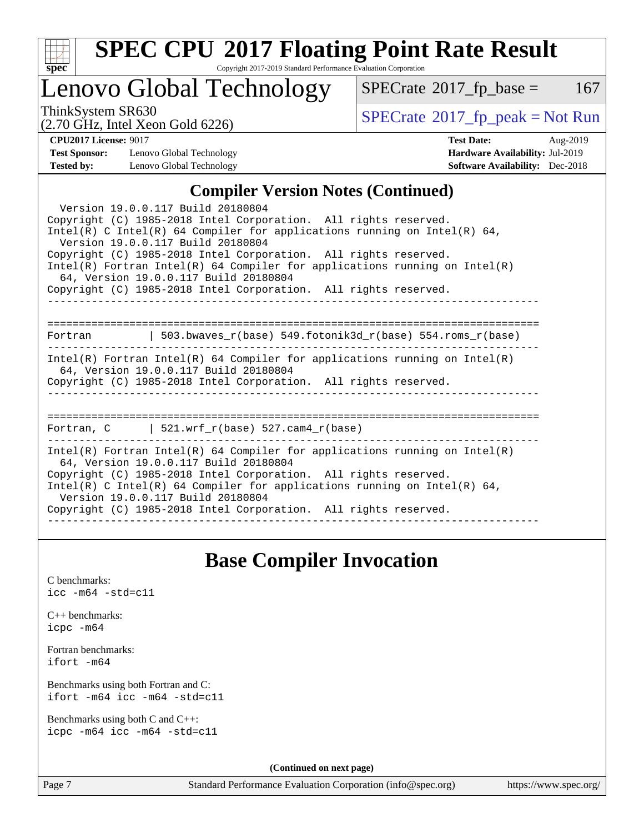

# **[SPEC CPU](http://www.spec.org/auto/cpu2017/Docs/result-fields.html#SPECCPU2017FloatingPointRateResult)[2017 Floating Point Rate Result](http://www.spec.org/auto/cpu2017/Docs/result-fields.html#SPECCPU2017FloatingPointRateResult)**

Copyright 2017-2019 Standard Performance Evaluation Corporation

# Lenovo Global Technology

 $SPECTate@2017_fp\_base = 167$ 

(2.70 GHz, Intel Xeon Gold 6226)

ThinkSystem SR630<br>  $(2.70 \text{ GHz}_{\text{1.1}})$  [SPECrate](http://www.spec.org/auto/cpu2017/Docs/result-fields.html#SPECrate2017fppeak)®[2017\\_fp\\_peak = N](http://www.spec.org/auto/cpu2017/Docs/result-fields.html#SPECrate2017fppeak)ot Run

**[Test Sponsor:](http://www.spec.org/auto/cpu2017/Docs/result-fields.html#TestSponsor)** Lenovo Global Technology **[Hardware Availability:](http://www.spec.org/auto/cpu2017/Docs/result-fields.html#HardwareAvailability)** Jul-2019 **[Tested by:](http://www.spec.org/auto/cpu2017/Docs/result-fields.html#Testedby)** Lenovo Global Technology **[Software Availability:](http://www.spec.org/auto/cpu2017/Docs/result-fields.html#SoftwareAvailability)** Dec-2018

**[CPU2017 License:](http://www.spec.org/auto/cpu2017/Docs/result-fields.html#CPU2017License)** 9017 **[Test Date:](http://www.spec.org/auto/cpu2017/Docs/result-fields.html#TestDate)** Aug-2019

## **[Compiler Version Notes \(Continued\)](http://www.spec.org/auto/cpu2017/Docs/result-fields.html#CompilerVersionNotes)**

| Version 19.0.0.117 Build 20180804<br>Copyright (C) 1985-2018 Intel Corporation. All rights reserved.<br>Intel(R) C Intel(R) 64 Compiler for applications running on Intel(R) 64,<br>Version 19.0.0.117 Build 20180804<br>Copyright (C) 1985-2018 Intel Corporation. All rights reserved.<br>Intel(R) Fortran Intel(R) 64 Compiler for applications running on Intel(R)<br>64, Version 19.0.0.117 Build 20180804<br>Copyright (C) 1985-2018 Intel Corporation. All rights reserved. |  |  |  |  |  |
|------------------------------------------------------------------------------------------------------------------------------------------------------------------------------------------------------------------------------------------------------------------------------------------------------------------------------------------------------------------------------------------------------------------------------------------------------------------------------------|--|--|--|--|--|
| Fortran 		   503.bwaves_r(base) 549.fotonik3d_r(base) 554.roms_r(base)                                                                                                                                                                                                                                                                                                                                                                                                             |  |  |  |  |  |
|                                                                                                                                                                                                                                                                                                                                                                                                                                                                                    |  |  |  |  |  |
| $Intel(R)$ Fortran Intel(R) 64 Compiler for applications running on Intel(R)<br>64, Version 19.0.0.117 Build 20180804                                                                                                                                                                                                                                                                                                                                                              |  |  |  |  |  |
| Copyright (C) 1985-2018 Intel Corporation. All rights reserved.<br>______________                                                                                                                                                                                                                                                                                                                                                                                                  |  |  |  |  |  |
|                                                                                                                                                                                                                                                                                                                                                                                                                                                                                    |  |  |  |  |  |
| Fortran, $C = \vert 521. \text{wrf } r(\text{base})$ 527.cam4 $r(\text{base})$                                                                                                                                                                                                                                                                                                                                                                                                     |  |  |  |  |  |
| Intel(R) Fortran Intel(R) 64 Compiler for applications running on Intel(R)<br>64, Version 19.0.0.117 Build 20180804<br>Copyright (C) 1985-2018 Intel Corporation. All rights reserved.<br>Intel(R) C Intel(R) 64 Compiler for applications running on Intel(R) 64,<br>Version 19.0.0.117 Build 20180804                                                                                                                                                                            |  |  |  |  |  |
| Copyright (C) 1985-2018 Intel Corporation. All rights reserved.                                                                                                                                                                                                                                                                                                                                                                                                                    |  |  |  |  |  |

# **[Base Compiler Invocation](http://www.spec.org/auto/cpu2017/Docs/result-fields.html#BaseCompilerInvocation)**

[C benchmarks](http://www.spec.org/auto/cpu2017/Docs/result-fields.html#Cbenchmarks): [icc -m64 -std=c11](http://www.spec.org/cpu2017/results/res2019q3/cpu2017-20190902-17424.flags.html#user_CCbase_intel_icc_64bit_c11_33ee0cdaae7deeeab2a9725423ba97205ce30f63b9926c2519791662299b76a0318f32ddfffdc46587804de3178b4f9328c46fa7c2b0cd779d7a61945c91cd35)

|           | $C_{++}$ benchmarks: |
|-----------|----------------------|
| icpc -m64 |                      |

[Fortran benchmarks](http://www.spec.org/auto/cpu2017/Docs/result-fields.html#Fortranbenchmarks): [ifort -m64](http://www.spec.org/cpu2017/results/res2019q3/cpu2017-20190902-17424.flags.html#user_FCbase_intel_ifort_64bit_24f2bb282fbaeffd6157abe4f878425411749daecae9a33200eee2bee2fe76f3b89351d69a8130dd5949958ce389cf37ff59a95e7a40d588e8d3a57e0c3fd751)

[Benchmarks using both Fortran and C](http://www.spec.org/auto/cpu2017/Docs/result-fields.html#BenchmarksusingbothFortranandC): [ifort -m64](http://www.spec.org/cpu2017/results/res2019q3/cpu2017-20190902-17424.flags.html#user_CC_FCbase_intel_ifort_64bit_24f2bb282fbaeffd6157abe4f878425411749daecae9a33200eee2bee2fe76f3b89351d69a8130dd5949958ce389cf37ff59a95e7a40d588e8d3a57e0c3fd751) [icc -m64 -std=c11](http://www.spec.org/cpu2017/results/res2019q3/cpu2017-20190902-17424.flags.html#user_CC_FCbase_intel_icc_64bit_c11_33ee0cdaae7deeeab2a9725423ba97205ce30f63b9926c2519791662299b76a0318f32ddfffdc46587804de3178b4f9328c46fa7c2b0cd779d7a61945c91cd35)

[Benchmarks using both C and C++](http://www.spec.org/auto/cpu2017/Docs/result-fields.html#BenchmarksusingbothCandCXX): [icpc -m64](http://www.spec.org/cpu2017/results/res2019q3/cpu2017-20190902-17424.flags.html#user_CC_CXXbase_intel_icpc_64bit_4ecb2543ae3f1412ef961e0650ca070fec7b7afdcd6ed48761b84423119d1bf6bdf5cad15b44d48e7256388bc77273b966e5eb805aefd121eb22e9299b2ec9d9) [icc -m64 -std=c11](http://www.spec.org/cpu2017/results/res2019q3/cpu2017-20190902-17424.flags.html#user_CC_CXXbase_intel_icc_64bit_c11_33ee0cdaae7deeeab2a9725423ba97205ce30f63b9926c2519791662299b76a0318f32ddfffdc46587804de3178b4f9328c46fa7c2b0cd779d7a61945c91cd35)

**(Continued on next page)**

Page 7 Standard Performance Evaluation Corporation [\(info@spec.org\)](mailto:info@spec.org) <https://www.spec.org/>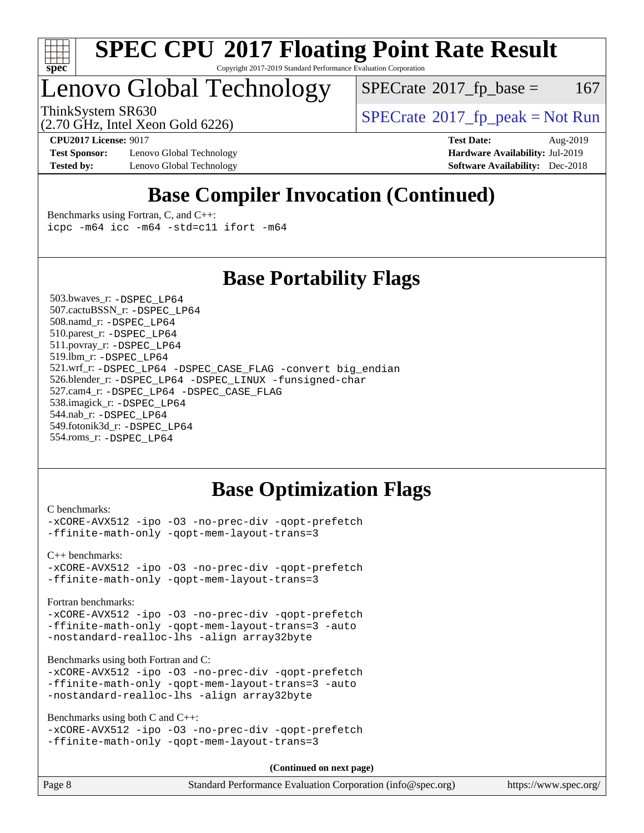

# Lenovo Global Technology

 $SPECTate$ <sup>®</sup>[2017\\_fp\\_base =](http://www.spec.org/auto/cpu2017/Docs/result-fields.html#SPECrate2017fpbase) 167

(2.70 GHz, Intel Xeon Gold 6226)

ThinkSystem SR630<br>  $(2.70 \text{ GHz}_{\text{1.1}})$  [SPECrate](http://www.spec.org/auto/cpu2017/Docs/result-fields.html#SPECrate2017fppeak)®[2017\\_fp\\_peak = N](http://www.spec.org/auto/cpu2017/Docs/result-fields.html#SPECrate2017fppeak)ot Run

**[Test Sponsor:](http://www.spec.org/auto/cpu2017/Docs/result-fields.html#TestSponsor)** Lenovo Global Technology **[Hardware Availability:](http://www.spec.org/auto/cpu2017/Docs/result-fields.html#HardwareAvailability)** Jul-2019 **[Tested by:](http://www.spec.org/auto/cpu2017/Docs/result-fields.html#Testedby)** Lenovo Global Technology **[Software Availability:](http://www.spec.org/auto/cpu2017/Docs/result-fields.html#SoftwareAvailability)** Dec-2018

**[CPU2017 License:](http://www.spec.org/auto/cpu2017/Docs/result-fields.html#CPU2017License)** 9017 **[Test Date:](http://www.spec.org/auto/cpu2017/Docs/result-fields.html#TestDate)** Aug-2019

# **[Base Compiler Invocation \(Continued\)](http://www.spec.org/auto/cpu2017/Docs/result-fields.html#BaseCompilerInvocation)**

[Benchmarks using Fortran, C, and C++:](http://www.spec.org/auto/cpu2017/Docs/result-fields.html#BenchmarksusingFortranCandCXX) [icpc -m64](http://www.spec.org/cpu2017/results/res2019q3/cpu2017-20190902-17424.flags.html#user_CC_CXX_FCbase_intel_icpc_64bit_4ecb2543ae3f1412ef961e0650ca070fec7b7afdcd6ed48761b84423119d1bf6bdf5cad15b44d48e7256388bc77273b966e5eb805aefd121eb22e9299b2ec9d9) [icc -m64 -std=c11](http://www.spec.org/cpu2017/results/res2019q3/cpu2017-20190902-17424.flags.html#user_CC_CXX_FCbase_intel_icc_64bit_c11_33ee0cdaae7deeeab2a9725423ba97205ce30f63b9926c2519791662299b76a0318f32ddfffdc46587804de3178b4f9328c46fa7c2b0cd779d7a61945c91cd35) [ifort -m64](http://www.spec.org/cpu2017/results/res2019q3/cpu2017-20190902-17424.flags.html#user_CC_CXX_FCbase_intel_ifort_64bit_24f2bb282fbaeffd6157abe4f878425411749daecae9a33200eee2bee2fe76f3b89351d69a8130dd5949958ce389cf37ff59a95e7a40d588e8d3a57e0c3fd751)

# **[Base Portability Flags](http://www.spec.org/auto/cpu2017/Docs/result-fields.html#BasePortabilityFlags)**

 503.bwaves\_r: [-DSPEC\\_LP64](http://www.spec.org/cpu2017/results/res2019q3/cpu2017-20190902-17424.flags.html#suite_basePORTABILITY503_bwaves_r_DSPEC_LP64) 507.cactuBSSN\_r: [-DSPEC\\_LP64](http://www.spec.org/cpu2017/results/res2019q3/cpu2017-20190902-17424.flags.html#suite_basePORTABILITY507_cactuBSSN_r_DSPEC_LP64) 508.namd\_r: [-DSPEC\\_LP64](http://www.spec.org/cpu2017/results/res2019q3/cpu2017-20190902-17424.flags.html#suite_basePORTABILITY508_namd_r_DSPEC_LP64) 510.parest\_r: [-DSPEC\\_LP64](http://www.spec.org/cpu2017/results/res2019q3/cpu2017-20190902-17424.flags.html#suite_basePORTABILITY510_parest_r_DSPEC_LP64) 511.povray\_r: [-DSPEC\\_LP64](http://www.spec.org/cpu2017/results/res2019q3/cpu2017-20190902-17424.flags.html#suite_basePORTABILITY511_povray_r_DSPEC_LP64) 519.lbm\_r: [-DSPEC\\_LP64](http://www.spec.org/cpu2017/results/res2019q3/cpu2017-20190902-17424.flags.html#suite_basePORTABILITY519_lbm_r_DSPEC_LP64) 521.wrf\_r: [-DSPEC\\_LP64](http://www.spec.org/cpu2017/results/res2019q3/cpu2017-20190902-17424.flags.html#suite_basePORTABILITY521_wrf_r_DSPEC_LP64) [-DSPEC\\_CASE\\_FLAG](http://www.spec.org/cpu2017/results/res2019q3/cpu2017-20190902-17424.flags.html#b521.wrf_r_baseCPORTABILITY_DSPEC_CASE_FLAG) [-convert big\\_endian](http://www.spec.org/cpu2017/results/res2019q3/cpu2017-20190902-17424.flags.html#user_baseFPORTABILITY521_wrf_r_convert_big_endian_c3194028bc08c63ac5d04de18c48ce6d347e4e562e8892b8bdbdc0214820426deb8554edfa529a3fb25a586e65a3d812c835984020483e7e73212c4d31a38223) 526.blender\_r: [-DSPEC\\_LP64](http://www.spec.org/cpu2017/results/res2019q3/cpu2017-20190902-17424.flags.html#suite_basePORTABILITY526_blender_r_DSPEC_LP64) [-DSPEC\\_LINUX](http://www.spec.org/cpu2017/results/res2019q3/cpu2017-20190902-17424.flags.html#b526.blender_r_baseCPORTABILITY_DSPEC_LINUX) [-funsigned-char](http://www.spec.org/cpu2017/results/res2019q3/cpu2017-20190902-17424.flags.html#user_baseCPORTABILITY526_blender_r_force_uchar_40c60f00ab013830e2dd6774aeded3ff59883ba5a1fc5fc14077f794d777847726e2a5858cbc7672e36e1b067e7e5c1d9a74f7176df07886a243d7cc18edfe67) 527.cam4\_r: [-DSPEC\\_LP64](http://www.spec.org/cpu2017/results/res2019q3/cpu2017-20190902-17424.flags.html#suite_basePORTABILITY527_cam4_r_DSPEC_LP64) [-DSPEC\\_CASE\\_FLAG](http://www.spec.org/cpu2017/results/res2019q3/cpu2017-20190902-17424.flags.html#b527.cam4_r_baseCPORTABILITY_DSPEC_CASE_FLAG) 538.imagick\_r: [-DSPEC\\_LP64](http://www.spec.org/cpu2017/results/res2019q3/cpu2017-20190902-17424.flags.html#suite_basePORTABILITY538_imagick_r_DSPEC_LP64) 544.nab\_r: [-DSPEC\\_LP64](http://www.spec.org/cpu2017/results/res2019q3/cpu2017-20190902-17424.flags.html#suite_basePORTABILITY544_nab_r_DSPEC_LP64) 549.fotonik3d\_r: [-DSPEC\\_LP64](http://www.spec.org/cpu2017/results/res2019q3/cpu2017-20190902-17424.flags.html#suite_basePORTABILITY549_fotonik3d_r_DSPEC_LP64) 554.roms\_r: [-DSPEC\\_LP64](http://www.spec.org/cpu2017/results/res2019q3/cpu2017-20190902-17424.flags.html#suite_basePORTABILITY554_roms_r_DSPEC_LP64)

# **[Base Optimization Flags](http://www.spec.org/auto/cpu2017/Docs/result-fields.html#BaseOptimizationFlags)**

[C benchmarks](http://www.spec.org/auto/cpu2017/Docs/result-fields.html#Cbenchmarks):

[-xCORE-AVX512](http://www.spec.org/cpu2017/results/res2019q3/cpu2017-20190902-17424.flags.html#user_CCbase_f-xCORE-AVX512) [-ipo](http://www.spec.org/cpu2017/results/res2019q3/cpu2017-20190902-17424.flags.html#user_CCbase_f-ipo) [-O3](http://www.spec.org/cpu2017/results/res2019q3/cpu2017-20190902-17424.flags.html#user_CCbase_f-O3) [-no-prec-div](http://www.spec.org/cpu2017/results/res2019q3/cpu2017-20190902-17424.flags.html#user_CCbase_f-no-prec-div) [-qopt-prefetch](http://www.spec.org/cpu2017/results/res2019q3/cpu2017-20190902-17424.flags.html#user_CCbase_f-qopt-prefetch) [-ffinite-math-only](http://www.spec.org/cpu2017/results/res2019q3/cpu2017-20190902-17424.flags.html#user_CCbase_f_finite_math_only_cb91587bd2077682c4b38af759c288ed7c732db004271a9512da14a4f8007909a5f1427ecbf1a0fb78ff2a814402c6114ac565ca162485bbcae155b5e4258871) [-qopt-mem-layout-trans=3](http://www.spec.org/cpu2017/results/res2019q3/cpu2017-20190902-17424.flags.html#user_CCbase_f-qopt-mem-layout-trans_de80db37974c74b1f0e20d883f0b675c88c3b01e9d123adea9b28688d64333345fb62bc4a798493513fdb68f60282f9a726aa07f478b2f7113531aecce732043)

[C++ benchmarks:](http://www.spec.org/auto/cpu2017/Docs/result-fields.html#CXXbenchmarks) [-xCORE-AVX512](http://www.spec.org/cpu2017/results/res2019q3/cpu2017-20190902-17424.flags.html#user_CXXbase_f-xCORE-AVX512) [-ipo](http://www.spec.org/cpu2017/results/res2019q3/cpu2017-20190902-17424.flags.html#user_CXXbase_f-ipo) [-O3](http://www.spec.org/cpu2017/results/res2019q3/cpu2017-20190902-17424.flags.html#user_CXXbase_f-O3) [-no-prec-div](http://www.spec.org/cpu2017/results/res2019q3/cpu2017-20190902-17424.flags.html#user_CXXbase_f-no-prec-div) [-qopt-prefetch](http://www.spec.org/cpu2017/results/res2019q3/cpu2017-20190902-17424.flags.html#user_CXXbase_f-qopt-prefetch) [-ffinite-math-only](http://www.spec.org/cpu2017/results/res2019q3/cpu2017-20190902-17424.flags.html#user_CXXbase_f_finite_math_only_cb91587bd2077682c4b38af759c288ed7c732db004271a9512da14a4f8007909a5f1427ecbf1a0fb78ff2a814402c6114ac565ca162485bbcae155b5e4258871) [-qopt-mem-layout-trans=3](http://www.spec.org/cpu2017/results/res2019q3/cpu2017-20190902-17424.flags.html#user_CXXbase_f-qopt-mem-layout-trans_de80db37974c74b1f0e20d883f0b675c88c3b01e9d123adea9b28688d64333345fb62bc4a798493513fdb68f60282f9a726aa07f478b2f7113531aecce732043)

[Fortran benchmarks](http://www.spec.org/auto/cpu2017/Docs/result-fields.html#Fortranbenchmarks):

[-xCORE-AVX512](http://www.spec.org/cpu2017/results/res2019q3/cpu2017-20190902-17424.flags.html#user_FCbase_f-xCORE-AVX512) [-ipo](http://www.spec.org/cpu2017/results/res2019q3/cpu2017-20190902-17424.flags.html#user_FCbase_f-ipo) [-O3](http://www.spec.org/cpu2017/results/res2019q3/cpu2017-20190902-17424.flags.html#user_FCbase_f-O3) [-no-prec-div](http://www.spec.org/cpu2017/results/res2019q3/cpu2017-20190902-17424.flags.html#user_FCbase_f-no-prec-div) [-qopt-prefetch](http://www.spec.org/cpu2017/results/res2019q3/cpu2017-20190902-17424.flags.html#user_FCbase_f-qopt-prefetch) [-ffinite-math-only](http://www.spec.org/cpu2017/results/res2019q3/cpu2017-20190902-17424.flags.html#user_FCbase_f_finite_math_only_cb91587bd2077682c4b38af759c288ed7c732db004271a9512da14a4f8007909a5f1427ecbf1a0fb78ff2a814402c6114ac565ca162485bbcae155b5e4258871) [-qopt-mem-layout-trans=3](http://www.spec.org/cpu2017/results/res2019q3/cpu2017-20190902-17424.flags.html#user_FCbase_f-qopt-mem-layout-trans_de80db37974c74b1f0e20d883f0b675c88c3b01e9d123adea9b28688d64333345fb62bc4a798493513fdb68f60282f9a726aa07f478b2f7113531aecce732043) [-auto](http://www.spec.org/cpu2017/results/res2019q3/cpu2017-20190902-17424.flags.html#user_FCbase_f-auto) [-nostandard-realloc-lhs](http://www.spec.org/cpu2017/results/res2019q3/cpu2017-20190902-17424.flags.html#user_FCbase_f_2003_std_realloc_82b4557e90729c0f113870c07e44d33d6f5a304b4f63d4c15d2d0f1fab99f5daaed73bdb9275d9ae411527f28b936061aa8b9c8f2d63842963b95c9dd6426b8a) [-align array32byte](http://www.spec.org/cpu2017/results/res2019q3/cpu2017-20190902-17424.flags.html#user_FCbase_align_array32byte_b982fe038af199962ba9a80c053b8342c548c85b40b8e86eb3cc33dee0d7986a4af373ac2d51c3f7cf710a18d62fdce2948f201cd044323541f22fc0fffc51b6)

[Benchmarks using both Fortran and C](http://www.spec.org/auto/cpu2017/Docs/result-fields.html#BenchmarksusingbothFortranandC):

[-xCORE-AVX512](http://www.spec.org/cpu2017/results/res2019q3/cpu2017-20190902-17424.flags.html#user_CC_FCbase_f-xCORE-AVX512) [-ipo](http://www.spec.org/cpu2017/results/res2019q3/cpu2017-20190902-17424.flags.html#user_CC_FCbase_f-ipo) [-O3](http://www.spec.org/cpu2017/results/res2019q3/cpu2017-20190902-17424.flags.html#user_CC_FCbase_f-O3) [-no-prec-div](http://www.spec.org/cpu2017/results/res2019q3/cpu2017-20190902-17424.flags.html#user_CC_FCbase_f-no-prec-div) [-qopt-prefetch](http://www.spec.org/cpu2017/results/res2019q3/cpu2017-20190902-17424.flags.html#user_CC_FCbase_f-qopt-prefetch) [-ffinite-math-only](http://www.spec.org/cpu2017/results/res2019q3/cpu2017-20190902-17424.flags.html#user_CC_FCbase_f_finite_math_only_cb91587bd2077682c4b38af759c288ed7c732db004271a9512da14a4f8007909a5f1427ecbf1a0fb78ff2a814402c6114ac565ca162485bbcae155b5e4258871) [-qopt-mem-layout-trans=3](http://www.spec.org/cpu2017/results/res2019q3/cpu2017-20190902-17424.flags.html#user_CC_FCbase_f-qopt-mem-layout-trans_de80db37974c74b1f0e20d883f0b675c88c3b01e9d123adea9b28688d64333345fb62bc4a798493513fdb68f60282f9a726aa07f478b2f7113531aecce732043) [-auto](http://www.spec.org/cpu2017/results/res2019q3/cpu2017-20190902-17424.flags.html#user_CC_FCbase_f-auto) [-nostandard-realloc-lhs](http://www.spec.org/cpu2017/results/res2019q3/cpu2017-20190902-17424.flags.html#user_CC_FCbase_f_2003_std_realloc_82b4557e90729c0f113870c07e44d33d6f5a304b4f63d4c15d2d0f1fab99f5daaed73bdb9275d9ae411527f28b936061aa8b9c8f2d63842963b95c9dd6426b8a) [-align array32byte](http://www.spec.org/cpu2017/results/res2019q3/cpu2017-20190902-17424.flags.html#user_CC_FCbase_align_array32byte_b982fe038af199962ba9a80c053b8342c548c85b40b8e86eb3cc33dee0d7986a4af373ac2d51c3f7cf710a18d62fdce2948f201cd044323541f22fc0fffc51b6)

[Benchmarks using both C and C++](http://www.spec.org/auto/cpu2017/Docs/result-fields.html#BenchmarksusingbothCandCXX):

```
-xCORE-AVX512 -ipo -O3 -no-prec-div -qopt-prefetch
-ffinite-math-only -qopt-mem-layout-trans=3
```
**(Continued on next page)**